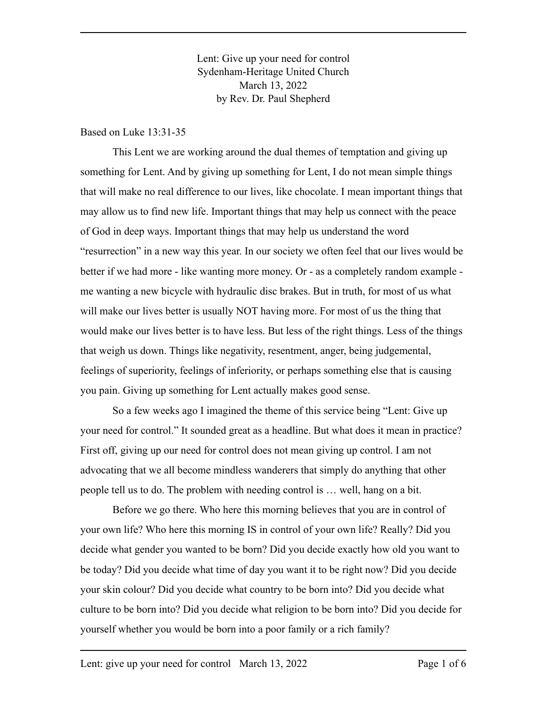Lent: Give up your need for control Sydenham-Heritage United Church March 13, 2022 by Rev. Dr. Paul Shepherd

Based on Luke 13:31-35

This Lent we are working around the dual themes of temptation and giving up something for Lent. And by giving up something for Lent, I do not mean simple things that will make no real difference to our lives, like chocolate. I mean important things that may allow us to find new life. Important things that may help us connect with the peace of God in deep ways. Important things that may help us understand the word "resurrection" in a new way this year. In our society we often feel that our lives would be better if we had more - like wanting more money. Or - as a completely random example me wanting a new bicycle with hydraulic disc brakes. But in truth, for most of us what will make our lives better is usually NOT having more. For most of us the thing that would make our lives better is to have less. But less of the right things. Less of the things that weigh us down. Things like negativity, resentment, anger, being judgemental, feelings of superiority, feelings of inferiority, or perhaps something else that is causing you pain. Giving up something for Lent actually makes good sense.

So a few weeks ago I imagined the theme of this service being "Lent: Give up your need for control." It sounded great as a headline. But what does it mean in practice? First off, giving up our need for control does not mean giving up control. I am not advocating that we all become mindless wanderers that simply do anything that other people tell us to do. The problem with needing control is … well, hang on a bit.

Before we go there. Who here this morning believes that you are in control of your own life? Who here this morning IS in control of your own life? Really? Did you decide what gender you wanted to be born? Did you decide exactly how old you want to be today? Did you decide what time of day you want it to be right now? Did you decide your skin colour? Did you decide what country to be born into? Did you decide what culture to be born into? Did you decide what religion to be born into? Did you decide for yourself whether you would be born into a poor family or a rich family?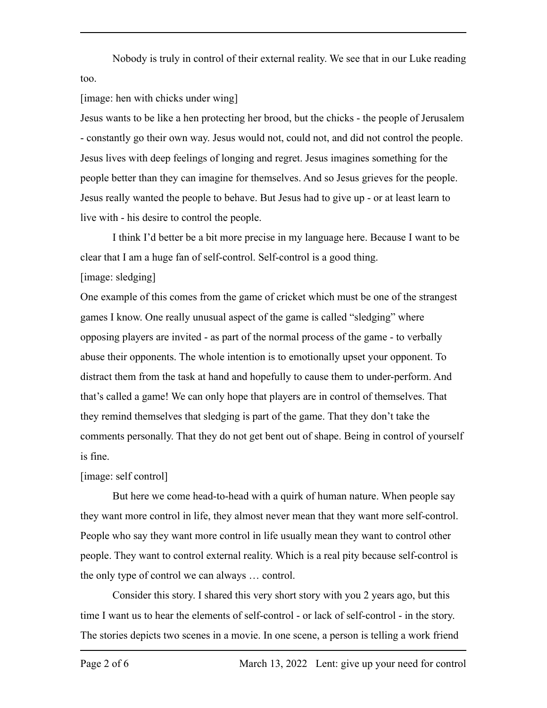Nobody is truly in control of their external reality. We see that in our Luke reading too.

## [image: hen with chicks under wing]

Jesus wants to be like a hen protecting her brood, but the chicks - the people of Jerusalem - constantly go their own way. Jesus would not, could not, and did not control the people. Jesus lives with deep feelings of longing and regret. Jesus imagines something for the people better than they can imagine for themselves. And so Jesus grieves for the people. Jesus really wanted the people to behave. But Jesus had to give up - or at least learn to live with - his desire to control the people.

I think I'd better be a bit more precise in my language here. Because I want to be clear that I am a huge fan of self-control. Self-control is a good thing. [image: sledging]

One example of this comes from the game of cricket which must be one of the strangest games I know. One really unusual aspect of the game is called "sledging" where opposing players are invited - as part of the normal process of the game - to verbally abuse their opponents. The whole intention is to emotionally upset your opponent. To distract them from the task at hand and hopefully to cause them to under-perform. And that's called a game! We can only hope that players are in control of themselves. That they remind themselves that sledging is part of the game. That they don't take the comments personally. That they do not get bent out of shape. Being in control of yourself is fine.

## [image: self control]

But here we come head-to-head with a quirk of human nature. When people say they want more control in life, they almost never mean that they want more self-control. People who say they want more control in life usually mean they want to control other people. They want to control external reality. Which is a real pity because self-control is the only type of control we can always … control.

Consider this story. I shared this very short story with you 2 years ago, but this time I want us to hear the elements of self-control - or lack of self-control - in the story. The stories depicts two scenes in a movie. In one scene, a person is telling a work friend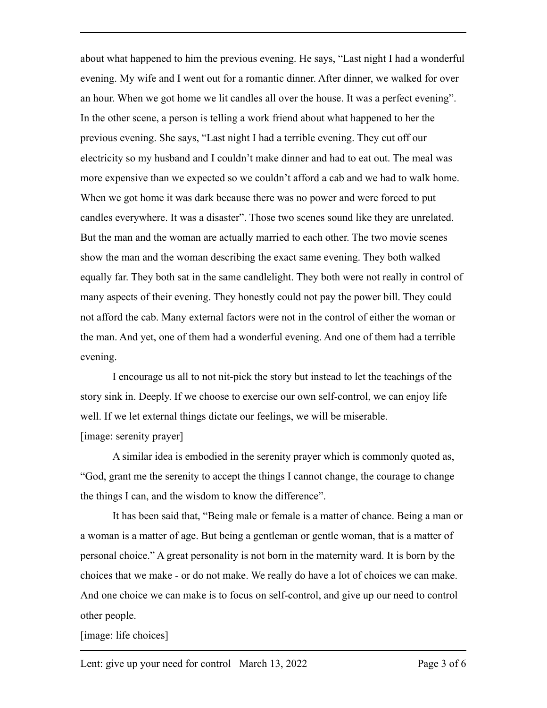about what happened to him the previous evening. He says, "Last night I had a wonderful evening. My wife and I went out for a romantic dinner. After dinner, we walked for over an hour. When we got home we lit candles all over the house. It was a perfect evening". In the other scene, a person is telling a work friend about what happened to her the previous evening. She says, "Last night I had a terrible evening. They cut off our electricity so my husband and I couldn't make dinner and had to eat out. The meal was more expensive than we expected so we couldn't afford a cab and we had to walk home. When we got home it was dark because there was no power and were forced to put candles everywhere. It was a disaster". Those two scenes sound like they are unrelated. But the man and the woman are actually married to each other. The two movie scenes show the man and the woman describing the exact same evening. They both walked equally far. They both sat in the same candlelight. They both were not really in control of many aspects of their evening. They honestly could not pay the power bill. They could not afford the cab. Many external factors were not in the control of either the woman or the man. And yet, one of them had a wonderful evening. And one of them had a terrible evening.

I encourage us all to not nit-pick the story but instead to let the teachings of the story sink in. Deeply. If we choose to exercise our own self-control, we can enjoy life well. If we let external things dictate our feelings, we will be miserable. [image: serenity prayer]

A similar idea is embodied in the serenity prayer which is commonly quoted as, "God, grant me the serenity to accept the things I cannot change, the courage to change the things I can, and the wisdom to know the difference".

It has been said that, "Being male or female is a matter of chance. Being a man or a woman is a matter of age. But being a gentleman or gentle woman, that is a matter of personal choice." A great personality is not born in the maternity ward. It is born by the choices that we make - or do not make. We really do have a lot of choices we can make. And one choice we can make is to focus on self-control, and give up our need to control other people.

## [image: life choices]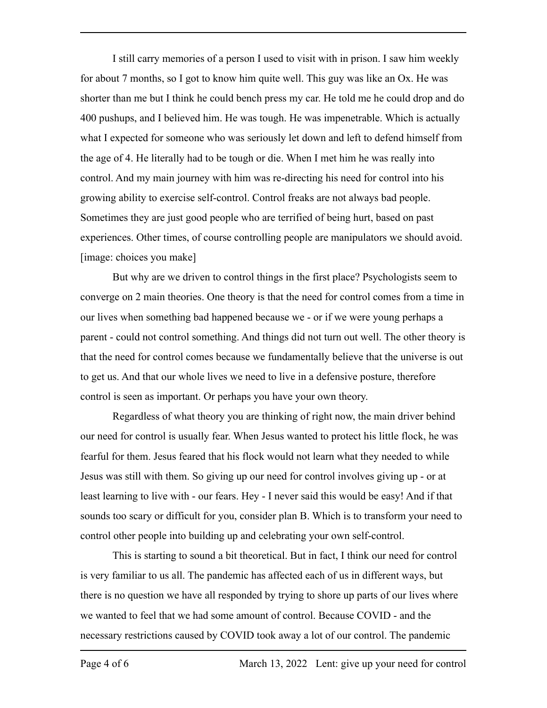I still carry memories of a person I used to visit with in prison. I saw him weekly for about 7 months, so I got to know him quite well. This guy was like an Ox. He was shorter than me but I think he could bench press my car. He told me he could drop and do 400 pushups, and I believed him. He was tough. He was impenetrable. Which is actually what I expected for someone who was seriously let down and left to defend himself from the age of 4. He literally had to be tough or die. When I met him he was really into control. And my main journey with him was re-directing his need for control into his growing ability to exercise self-control. Control freaks are not always bad people. Sometimes they are just good people who are terrified of being hurt, based on past experiences. Other times, of course controlling people are manipulators we should avoid. [image: choices you make]

But why are we driven to control things in the first place? Psychologists seem to converge on 2 main theories. One theory is that the need for control comes from a time in our lives when something bad happened because we - or if we were young perhaps a parent - could not control something. And things did not turn out well. The other theory is that the need for control comes because we fundamentally believe that the universe is out to get us. And that our whole lives we need to live in a defensive posture, therefore control is seen as important. Or perhaps you have your own theory.

Regardless of what theory you are thinking of right now, the main driver behind our need for control is usually fear. When Jesus wanted to protect his little flock, he was fearful for them. Jesus feared that his flock would not learn what they needed to while Jesus was still with them. So giving up our need for control involves giving up - or at least learning to live with - our fears. Hey - I never said this would be easy! And if that sounds too scary or difficult for you, consider plan B. Which is to transform your need to control other people into building up and celebrating your own self-control.

This is starting to sound a bit theoretical. But in fact, I think our need for control is very familiar to us all. The pandemic has affected each of us in different ways, but there is no question we have all responded by trying to shore up parts of our lives where we wanted to feel that we had some amount of control. Because COVID - and the necessary restrictions caused by COVID took away a lot of our control. The pandemic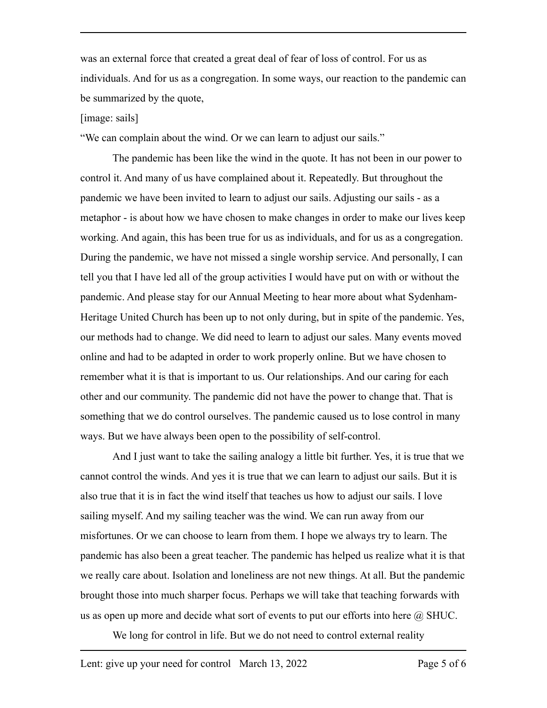was an external force that created a great deal of fear of loss of control. For us as individuals. And for us as a congregation. In some ways, our reaction to the pandemic can be summarized by the quote,

## [image: sails]

"We can complain about the wind. Or we can learn to adjust our sails."

The pandemic has been like the wind in the quote. It has not been in our power to control it. And many of us have complained about it. Repeatedly. But throughout the pandemic we have been invited to learn to adjust our sails. Adjusting our sails - as a metaphor - is about how we have chosen to make changes in order to make our lives keep working. And again, this has been true for us as individuals, and for us as a congregation. During the pandemic, we have not missed a single worship service. And personally, I can tell you that I have led all of the group activities I would have put on with or without the pandemic. And please stay for our Annual Meeting to hear more about what Sydenham-Heritage United Church has been up to not only during, but in spite of the pandemic. Yes, our methods had to change. We did need to learn to adjust our sales. Many events moved online and had to be adapted in order to work properly online. But we have chosen to remember what it is that is important to us. Our relationships. And our caring for each other and our community. The pandemic did not have the power to change that. That is something that we do control ourselves. The pandemic caused us to lose control in many ways. But we have always been open to the possibility of self-control.

And I just want to take the sailing analogy a little bit further. Yes, it is true that we cannot control the winds. And yes it is true that we can learn to adjust our sails. But it is also true that it is in fact the wind itself that teaches us how to adjust our sails. I love sailing myself. And my sailing teacher was the wind. We can run away from our misfortunes. Or we can choose to learn from them. I hope we always try to learn. The pandemic has also been a great teacher. The pandemic has helped us realize what it is that we really care about. Isolation and loneliness are not new things. At all. But the pandemic brought those into much sharper focus. Perhaps we will take that teaching forwards with us as open up more and decide what sort of events to put our efforts into here  $\omega$  SHUC.

We long for control in life. But we do not need to control external reality